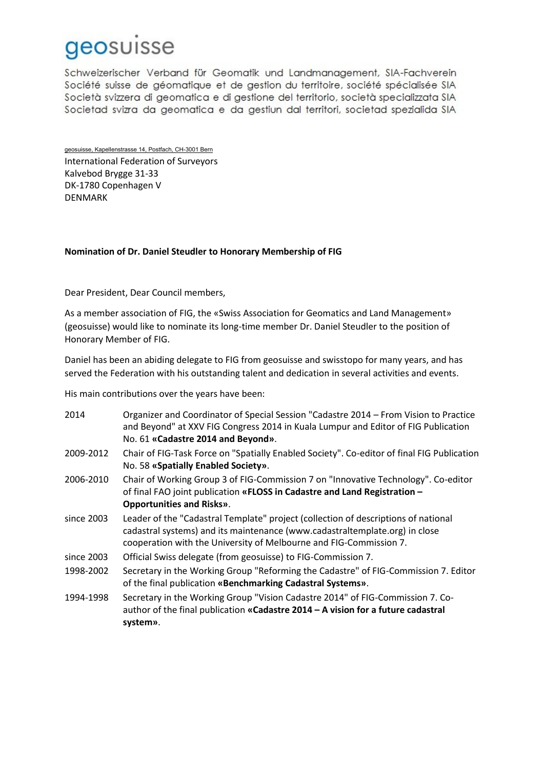## geosuisse

Schweizerischer Verband für Geomatik und Landmanagement, SIA-Fachverein Société suisse de géomatique et de gestion du territoire, société spécialisée SIA Società svizzera di geomatica e di gestione del territorio, società specializzata SIA Societad svizra da geomatica e da gestiun dal territori, societad spezialida SIA

geosuisse, Kapellenstrasse 14, Postfach, CH-3001 Bern International Federation of Surveyors Kalvebod Brygge 31-33 DK-1780 Copenhagen V DENMARK

## **Nomination of Dr. Daniel Steudler to Honorary Membership of FIG**

Dear President, Dear Council members,

As a member association of FIG, the «Swiss Association for Geomatics and Land Management» (geosuisse) would like to nominate its long-time member Dr. Daniel Steudler to the position of Honorary Member of FIG.

Daniel has been an abiding delegate to FIG from geosuisse and swisstopo for many years, and has served the Federation with his outstanding talent and dedication in several activities and events.

His main contributions over the years have been:

| 2014       | Organizer and Coordinator of Special Session "Cadastre 2014 – From Vision to Practice<br>and Beyond" at XXV FIG Congress 2014 in Kuala Lumpur and Editor of FIG Publication<br>No. 61 «Cadastre 2014 and Beyond».                       |
|------------|-----------------------------------------------------------------------------------------------------------------------------------------------------------------------------------------------------------------------------------------|
| 2009-2012  | Chair of FIG-Task Force on "Spatially Enabled Society". Co-editor of final FIG Publication<br>No. 58 «Spatially Enabled Society».                                                                                                       |
| 2006-2010  | Chair of Working Group 3 of FIG-Commission 7 on "Innovative Technology". Co-editor<br>of final FAO joint publication «FLOSS in Cadastre and Land Registration -<br><b>Opportunities and Risks».</b>                                     |
| since 2003 | Leader of the "Cadastral Template" project (collection of descriptions of national<br>cadastral systems) and its maintenance (www.cadastraltemplate.org) in close<br>cooperation with the University of Melbourne and FIG-Commission 7. |
| since 2003 | Official Swiss delegate (from geosuisse) to FIG-Commission 7.                                                                                                                                                                           |
| 1998-2002  | Secretary in the Working Group "Reforming the Cadastre" of FIG-Commission 7. Editor<br>of the final publication «Benchmarking Cadastral Systems».                                                                                       |
| 1994-1998  | Secretary in the Working Group "Vision Cadastre 2014" of FIG-Commission 7. Co-<br>author of the final publication «Cadastre 2014 – A vision for a future cadastral<br>system».                                                          |